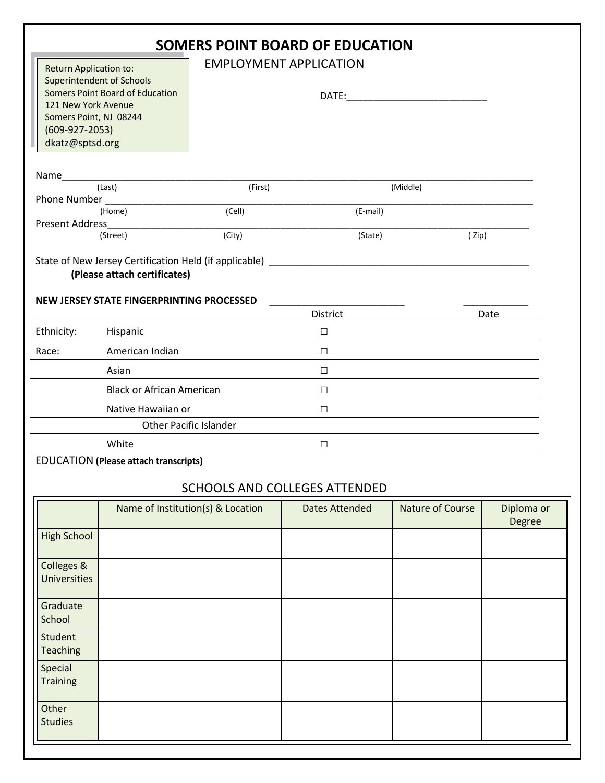| <b>SOMERS POINT BOARD OF EDUCATION</b><br><b>EMPLOYMENT APPLICATION</b><br><b>Return Application to:</b><br><b>Superintendent of Schools</b><br><b>Somers Point Board of Education</b><br>121 New York Avenue<br>Somers Point, NJ 08244<br>$(609-927-2053)$<br>dkatz@sptsd.org |                                                                                                                                                                                                                                          |         |                       |                         |                      |  |  |  |
|--------------------------------------------------------------------------------------------------------------------------------------------------------------------------------------------------------------------------------------------------------------------------------|------------------------------------------------------------------------------------------------------------------------------------------------------------------------------------------------------------------------------------------|---------|-----------------------|-------------------------|----------------------|--|--|--|
|                                                                                                                                                                                                                                                                                | Name and the state of the state of the state of the state of the state of the state of the state of the state of the state of the state of the state of the state of the state of the state of the state of the state of the s<br>(Last) | (First) |                       | (Middle)                |                      |  |  |  |
| Phone Number                                                                                                                                                                                                                                                                   |                                                                                                                                                                                                                                          |         |                       |                         |                      |  |  |  |
| <b>Present Address</b>                                                                                                                                                                                                                                                         | (Home)                                                                                                                                                                                                                                   | (Cell)  | (E-mail)              |                         |                      |  |  |  |
|                                                                                                                                                                                                                                                                                | (Street)                                                                                                                                                                                                                                 | (City)  | (State)               | (Zip)                   |                      |  |  |  |
| State of New Jersey Certification Held (if applicable) _________________________<br>(Please attach certificates)<br>NEW JERSEY STATE FINGERPRINTING PROCESSED                                                                                                                  |                                                                                                                                                                                                                                          |         |                       |                         |                      |  |  |  |
|                                                                                                                                                                                                                                                                                |                                                                                                                                                                                                                                          |         | District              |                         | Date                 |  |  |  |
| Ethnicity:                                                                                                                                                                                                                                                                     | Hispanic                                                                                                                                                                                                                                 |         | $\Box$                |                         |                      |  |  |  |
| Race:                                                                                                                                                                                                                                                                          | American Indian                                                                                                                                                                                                                          |         | $\Box$                |                         |                      |  |  |  |
|                                                                                                                                                                                                                                                                                | Asian                                                                                                                                                                                                                                    |         | $\Box$                |                         |                      |  |  |  |
|                                                                                                                                                                                                                                                                                | <b>Black or African American</b>                                                                                                                                                                                                         |         | $\Box$                |                         |                      |  |  |  |
|                                                                                                                                                                                                                                                                                | Native Hawaiian or                                                                                                                                                                                                                       |         | $\Box$                |                         |                      |  |  |  |
|                                                                                                                                                                                                                                                                                | <b>Other Pacific Islander</b>                                                                                                                                                                                                            |         |                       |                         |                      |  |  |  |
|                                                                                                                                                                                                                                                                                | White                                                                                                                                                                                                                                    |         | $\Box$                |                         |                      |  |  |  |
| <b>EDUCATION (Please attach transcripts)</b><br><b>SCHOOLS AND COLLEGES ATTENDED</b>                                                                                                                                                                                           |                                                                                                                                                                                                                                          |         |                       |                         |                      |  |  |  |
|                                                                                                                                                                                                                                                                                | Name of Institution(s) & Location                                                                                                                                                                                                        |         | <b>Dates Attended</b> | <b>Nature of Course</b> | Diploma or<br>Degree |  |  |  |
| <b>High School</b>                                                                                                                                                                                                                                                             |                                                                                                                                                                                                                                          |         |                       |                         |                      |  |  |  |
| Colleges &<br><b>Universities</b>                                                                                                                                                                                                                                              |                                                                                                                                                                                                                                          |         |                       |                         |                      |  |  |  |
| Graduate<br>School                                                                                                                                                                                                                                                             |                                                                                                                                                                                                                                          |         |                       |                         |                      |  |  |  |
| Student<br><b>Teaching</b>                                                                                                                                                                                                                                                     |                                                                                                                                                                                                                                          |         |                       |                         |                      |  |  |  |
| Special<br><b>Training</b>                                                                                                                                                                                                                                                     |                                                                                                                                                                                                                                          |         |                       |                         |                      |  |  |  |
| Other<br><b>Studies</b>                                                                                                                                                                                                                                                        |                                                                                                                                                                                                                                          |         |                       |                         |                      |  |  |  |